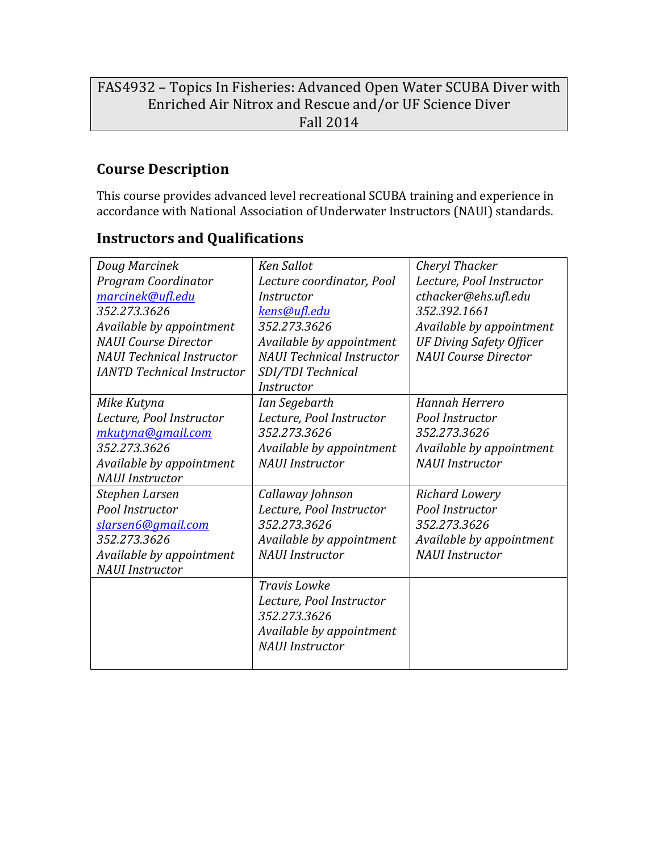# FAS4932 - Topics In Fisheries: Advanced Open Water SCUBA Diver with Enriched Air Nitrox and Rescue and/or UF Science Diver Fall 2014

## **Course Description**

This course provides advanced level recreational SCUBA training and experience in accordance with National Association of Underwater Instructors (NAUI) standards.

## **Instructors and Qualifications**

| Doug Marcinek                     | <b>Ken Sallot</b>                | Cheryl Thacker                  |
|-----------------------------------|----------------------------------|---------------------------------|
| Program Coordinator               | Lecture coordinator, Pool        | Lecture, Pool Instructor        |
| marcinek@ufl.edu                  | <i>Instructor</i>                | cthacker@ehs.ufl.edu            |
| 352.273.3626                      | kens@ufl.edu                     | 352.392.1661                    |
| Available by appointment          | 352.273.3626                     | Available by appointment        |
| <b>NAUI</b> Course Director       | Available by appointment         | <b>UF Diving Safety Officer</b> |
| <b>NAUI</b> Technical Instructor  | <b>NAUI</b> Technical Instructor | <b>NAUI</b> Course Director     |
| <b>IANTD Technical Instructor</b> | SDI/TDI Technical                |                                 |
|                                   | <i>Instructor</i>                |                                 |
| Mike Kutyna                       | Ian Segebarth                    | <b>Hannah Herrero</b>           |
| Lecture, Pool Instructor          | Lecture, Pool Instructor         | Pool Instructor                 |
| mkutyna@gmail.com                 | 352.273.3626                     | 352.273.3626                    |
| 352.273.3626                      | Available by appointment         | Available by appointment        |
| Available by appointment          | <b>NAUI</b> Instructor           | <b>NAUI</b> Instructor          |
| <b>NAUI</b> Instructor            |                                  |                                 |
| Stephen Larsen                    | Callaway Johnson                 | <b>Richard Lowery</b>           |
| Pool Instructor                   | Lecture, Pool Instructor         | Pool Instructor                 |
| slarsen6@gmail.com                | 352.273.3626                     | 352.273.3626                    |
| 352.273.3626                      | Available by appointment         | Available by appointment        |
| Available by appointment          | <b>NAUI</b> Instructor           | <b>NAUI</b> Instructor          |
| <b>NAUI</b> Instructor            |                                  |                                 |
|                                   | <b>Travis Lowke</b>              |                                 |
|                                   | Lecture, Pool Instructor         |                                 |
|                                   | 352.273.3626                     |                                 |
|                                   | Available by appointment         |                                 |
|                                   | <b>NAUI</b> Instructor           |                                 |
|                                   |                                  |                                 |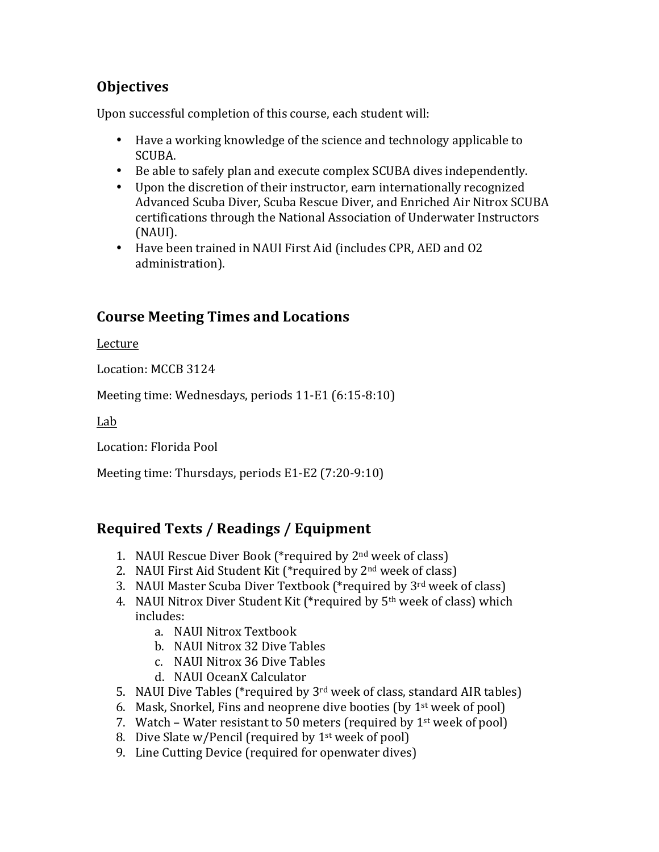## **Objectives**

Upon successful completion of this course, each student will:

- Have a working knowledge of the science and technology applicable to SCUBA.
- Be able to safely plan and execute complex SCUBA dives independently.
- Upon the discretion of their instructor, earn internationally recognized Advanced Scuba Diver, Scuba Rescue Diver, and Enriched Air Nitrox SCUBA certifications through the National Association of Underwater Instructors (NAUI).
- Have been trained in NAUI First Aid (includes CPR, AED and O2 administration).

# **Course Meeting Times and Locations**

Lecture

Location: MCCB 3124

Meeting time: Wednesdays, periods 11-E1 (6:15-8:10)

Lab

Location: Florida Pool

Meeting time: Thursdays, periods E1-E2 (7:20-9:10)

# **Required Texts / Readings / Equipment**

- 1. NAUI Rescue Diver Book (\*required by  $2<sup>nd</sup>$  week of class)
- 2. NAUI First Aid Student Kit (\*required by  $2<sup>nd</sup>$  week of class)
- 3. NAUI Master Scuba Diver Textbook (\*required by 3<sup>rd</sup> week of class)
- 4. NAUI Nitrox Diver Student Kit (\*required by  $5<sup>th</sup>$  week of class) which includes:
	- a. NAUI Nitrox Textbook
	- b. NAUI Nitrox 32 Dive Tables
	- c. NAUI Nitrox 36 Dive Tables
	- d. NAUI OceanX Calculator
- 5. NAUI Dive Tables (\*required by  $3<sup>rd</sup>$  week of class, standard AIR tables)
- 6. Mask, Snorkel, Fins and neoprene dive booties (by  $1<sup>st</sup>$  week of pool)
- 7. Watch Water resistant to 50 meters (required by  $1<sup>st</sup>$  week of pool)
- 8. Dive Slate w/Pencil (required by  $1<sup>st</sup>$  week of pool)
- 9. Line Cutting Device (required for openwater dives)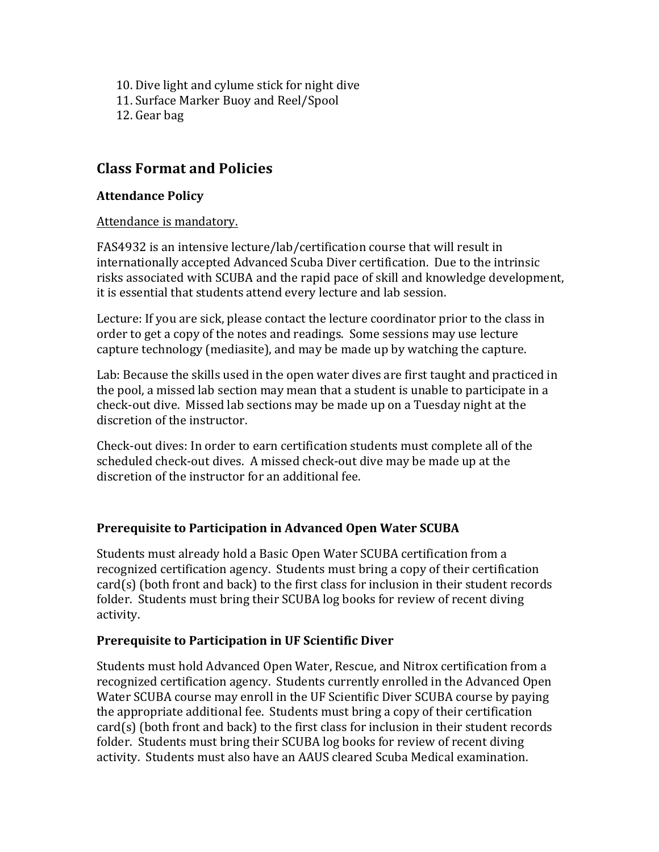10. Dive light and cylume stick for night dive 11. Surface Marker Buoy and Reel/Spool 12. Gear bag

### **Class Format and Policies**

#### **Attendance Policy**

#### Attendance is mandatory.

FAS4932 is an intensive lecture/lab/certification course that will result in internationally accepted Advanced Scuba Diver certification. Due to the intrinsic risks associated with SCUBA and the rapid pace of skill and knowledge development, it is essential that students attend every lecture and lab session.

Lecture: If you are sick, please contact the lecture coordinator prior to the class in order to get a copy of the notes and readings. Some sessions may use lecture capture technology (mediasite), and may be made up by watching the capture.

Lab: Because the skills used in the open water dives are first taught and practiced in the pool, a missed lab section may mean that a student is unable to participate in a check-out dive. Missed lab sections may be made up on a Tuesday night at the discretion of the instructor.

Check-out dives: In order to earn certification students must complete all of the scheduled check-out dives. A missed check-out dive may be made up at the discretion of the instructor for an additional fee.

#### **Prerequisite to Participation in Advanced Open Water SCUBA**

Students must already hold a Basic Open Water SCUBA certification from a recognized certification agency. Students must bring a copy of their certification  $card(s)$  (both front and back) to the first class for inclusion in their student records folder. Students must bring their SCUBA log books for review of recent diving activity.

#### **Prerequisite to Participation in UF Scientific Diver**

Students must hold Advanced Open Water, Rescue, and Nitrox certification from a recognized certification agency. Students currently enrolled in the Advanced Open Water SCUBA course may enroll in the UF Scientific Diver SCUBA course by paying the appropriate additional fee. Students must bring a copy of their certification  $card(s)$  (both front and back) to the first class for inclusion in their student records folder. Students must bring their SCUBA log books for review of recent diving activity. Students must also have an AAUS cleared Scuba Medical examination.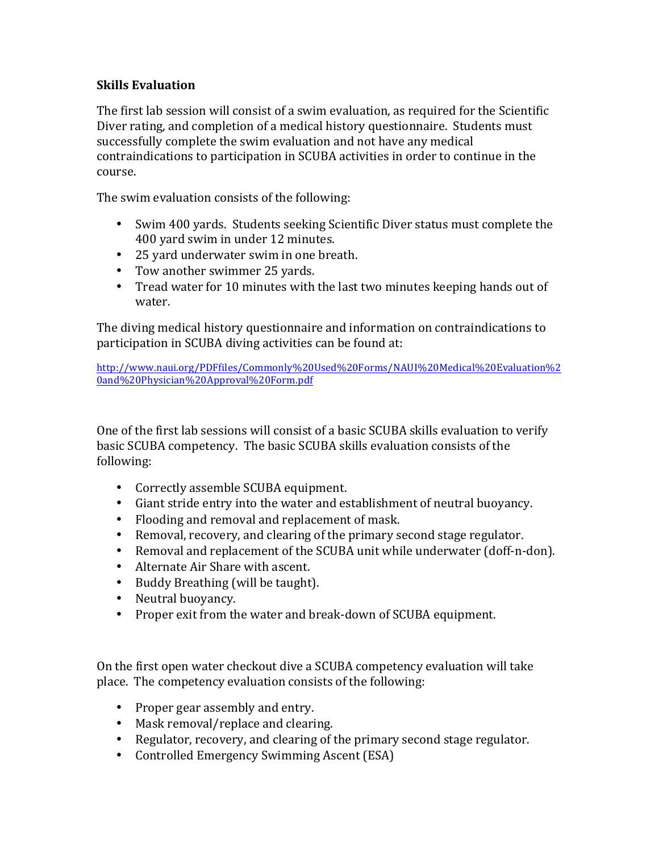#### **Skills Evaluation**

The first lab session will consist of a swim evaluation, as required for the Scientific Diver rating, and completion of a medical history questionnaire. Students must successfully complete the swim evaluation and not have any medical contraindications to participation in SCUBA activities in order to continue in the course. 

The swim evaluation consists of the following:

- Swim 400 yards. Students seeking Scientific Diver status must complete the 400 yard swim in under 12 minutes.
- 25 yard underwater swim in one breath.
- Tow another swimmer 25 yards.
- Tread water for 10 minutes with the last two minutes keeping hands out of water.

The diving medical history questionnaire and information on contraindications to participation in SCUBA diving activities can be found at:

http://www.naui.org/PDFfiles/Commonly%20Used%20Forms/NAUI%20Medical%20Evaluation%2 0and%20Physician%20Approval%20Form.pdf

One of the first lab sessions will consist of a basic SCUBA skills evaluation to verify basic SCUBA competency. The basic SCUBA skills evaluation consists of the following:

- Correctly assemble SCUBA equipment.
- Giant stride entry into the water and establishment of neutral buoyancy.
- Flooding and removal and replacement of mask.
- Removal, recovery, and clearing of the primary second stage regulator.
- Removal and replacement of the SCUBA unit while underwater (doff-n-don).
- Alternate Air Share with ascent.
- Buddy Breathing (will be taught).
- Neutral buoyancy.
- Proper exit from the water and break-down of SCUBA equipment.

On the first open water checkout dive a SCUBA competency evaluation will take place. The competency evaluation consists of the following:

- Proper gear assembly and entry.
- Mask removal/replace and clearing.
- Regulator, recovery, and clearing of the primary second stage regulator.
- Controlled Emergency Swimming Ascent (ESA)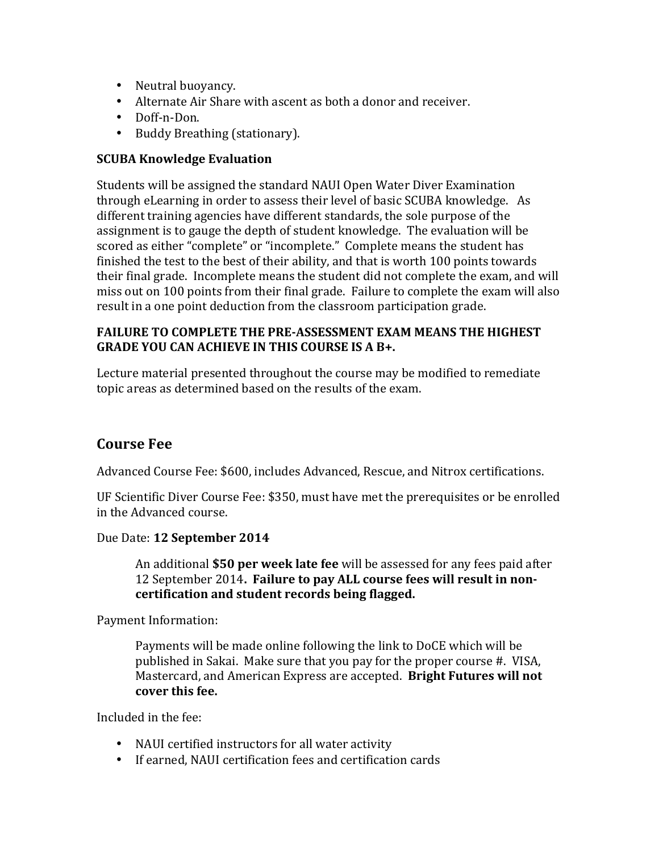- Neutral buoyancy.
- Alternate Air Share with ascent as both a donor and receiver.
- Doff-n-Don.
- Buddy Breathing (stationary).

#### **SCUBA Knowledge Evaluation**

Students will be assigned the standard NAUI Open Water Diver Examination through eLearning in order to assess their level of basic SCUBA knowledge. As different training agencies have different standards, the sole purpose of the assignment is to gauge the depth of student knowledge. The evaluation will be scored as either "complete" or "incomplete." Complete means the student has finished the test to the best of their ability, and that is worth 100 points towards their final grade. Incomplete means the student did not complete the exam, and will miss out on 100 points from their final grade. Failure to complete the exam will also result in a one point deduction from the classroom participation grade.

#### **FAILURE TO COMPLETE THE PRE-ASSESSMENT EXAM MEANS THE HIGHEST GRADE YOU CAN ACHIEVE IN THIS COURSE IS A B+.**

Lecture material presented throughout the course may be modified to remediate topic areas as determined based on the results of the exam.

### **Course Fee**

Advanced Course Fee: \$600, includes Advanced, Rescue, and Nitrox certifications.

UF Scientific Diver Course Fee: \$350, must have met the prerequisites or be enrolled in the Advanced course.

Due Date: **12 September 2014**

An additional **\$50 per week late fee** will be assessed for any fees paid after 12 September 2014. Failure to pay ALL course fees will result in noncertification and student records being flagged.

Payment Information:

Payments will be made online following the link to DoCE which will be published in Sakai. Make sure that you pay for the proper course #. VISA, Mastercard, and American Express are accepted. **Bright Futures will not** cover this fee.

Included in the fee:

- NAUI certified instructors for all water activity
- If earned, NAUI certification fees and certification cards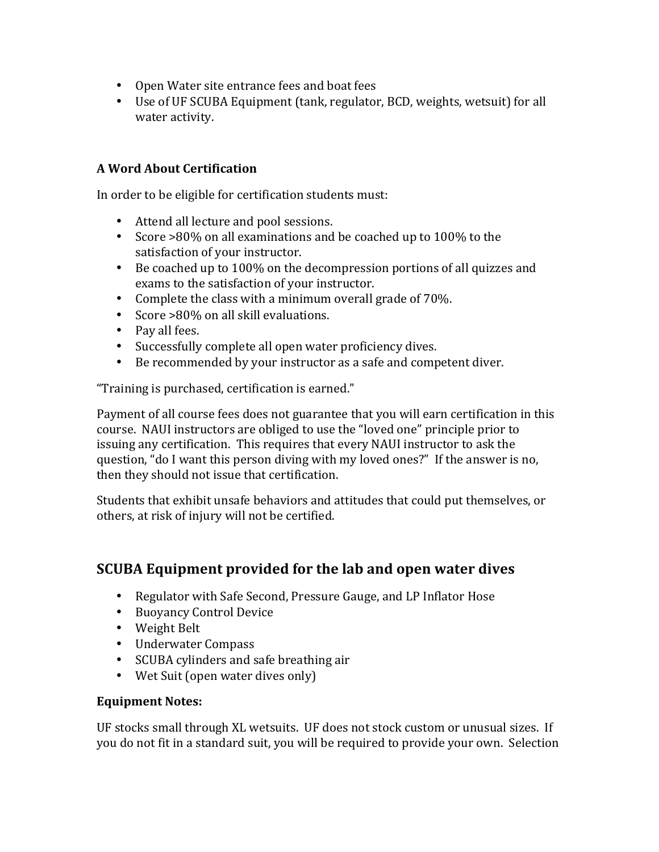- Open Water site entrance fees and boat fees
- Use of UF SCUBA Equipment (tank, regulator, BCD, weights, wetsuit) for all water activity.

#### **A Word About Certification**

In order to be eligible for certification students must:

- Attend all lecture and pool sessions.
- Score >80% on all examinations and be coached up to 100% to the satisfaction of your instructor.
- Be coached up to 100% on the decompression portions of all quizzes and exams to the satisfaction of your instructor.
- Complete the class with a minimum overall grade of  $70\%$ .
- Score >80% on all skill evaluations.
- Pay all fees.
- Successfully complete all open water proficiency dives.
- Be recommended by your instructor as a safe and competent diver.

"Training is purchased, certification is earned."

Payment of all course fees does not guarantee that you will earn certification in this course. NAUI instructors are obliged to use the "loved one" principle prior to issuing any certification. This requires that every NAUI instructor to ask the question, "do I want this person diving with my loved ones?" If the answer is no, then they should not issue that certification.

Students that exhibit unsafe behaviors and attitudes that could put themselves, or others, at risk of injury will not be certified.

### **SCUBA Equipment provided for the lab and open water dives**

- Regulator with Safe Second, Pressure Gauge, and LP Inflator Hose
- Buoyancy Control Device
- Weight Belt
- Underwater Compass
- SCUBA cylinders and safe breathing air
- Wet Suit (open water dives only)

#### **Equipment Notes:**

UF stocks small through XL wetsuits. UF does not stock custom or unusual sizes. If you do not fit in a standard suit, you will be required to provide your own. Selection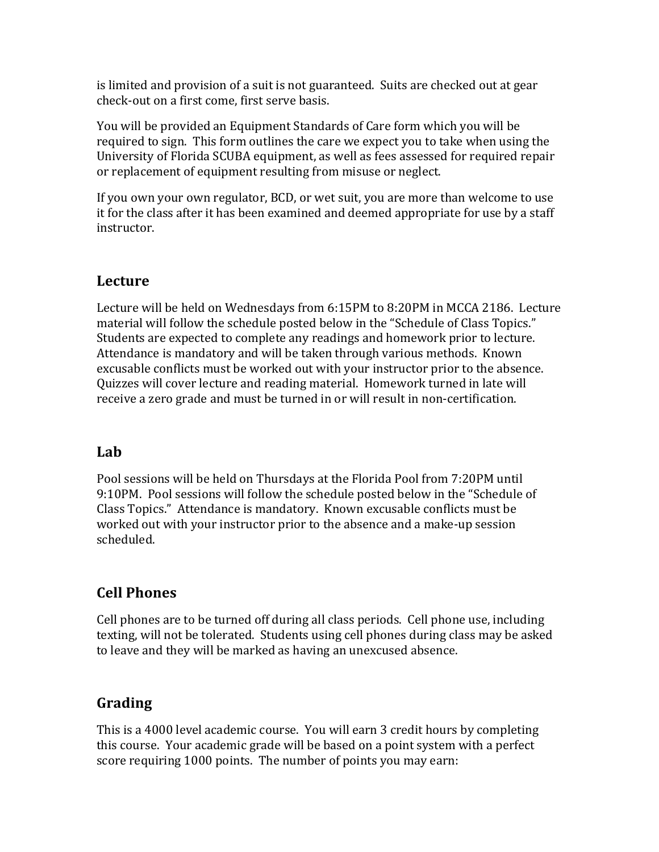is limited and provision of a suit is not guaranteed. Suits are checked out at gear check-out on a first come, first serve basis.

You will be provided an Equipment Standards of Care form which you will be required to sign. This form outlines the care we expect you to take when using the University of Florida SCUBA equipment, as well as fees assessed for required repair or replacement of equipment resulting from misuse or neglect.

If you own your own regulator, BCD, or wet suit, you are more than welcome to use it for the class after it has been examined and deemed appropriate for use by a staff instructor.

## **Lecture**

Lecture will be held on Wednesdays from 6:15PM to 8:20PM in MCCA 2186. Lecture material will follow the schedule posted below in the "Schedule of Class Topics." Students are expected to complete any readings and homework prior to lecture. Attendance is mandatory and will be taken through various methods. Known excusable conflicts must be worked out with your instructor prior to the absence. Quizzes will cover lecture and reading material. Homework turned in late will receive a zero grade and must be turned in or will result in non-certification.

## **Lab**

Pool sessions will be held on Thursdays at the Florida Pool from 7:20PM until 9:10PM. Pool sessions will follow the schedule posted below in the "Schedule of Class Topics." Attendance is mandatory. Known excusable conflicts must be worked out with your instructor prior to the absence and a make-up session scheduled.

## **Cell Phones**

Cell phones are to be turned off during all class periods. Cell phone use, including texting, will not be tolerated. Students using cell phones during class may be asked to leave and they will be marked as having an unexcused absence.

## **Grading**

This is a 4000 level academic course. You will earn 3 credit hours by completing this course. Your academic grade will be based on a point system with a perfect score requiring 1000 points. The number of points you may earn: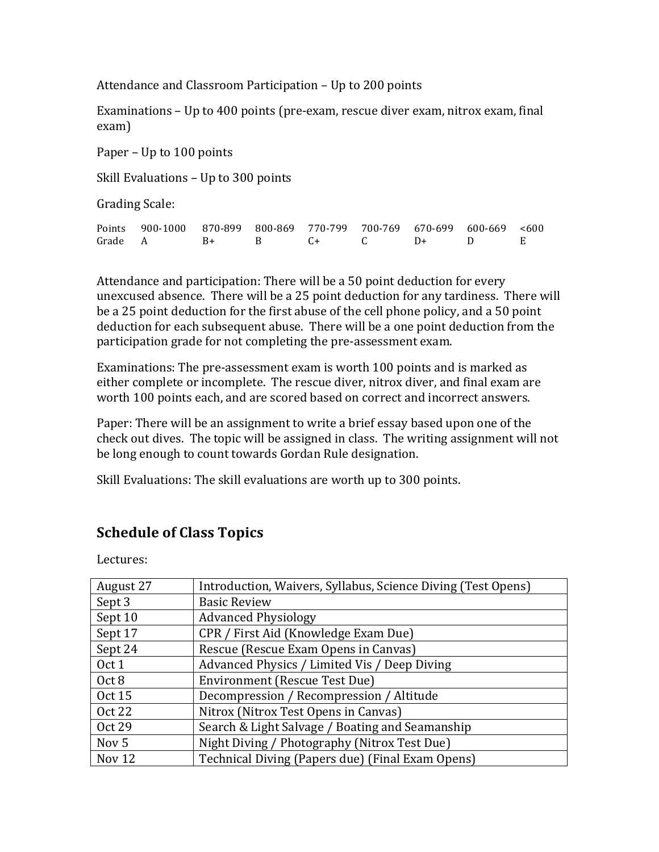Attendance and Classroom Participation – Up to 200 points

Examinations – Up to 400 points (pre-exam, rescue diver exam, nitrox exam, final exam)

Paper – Up to  $100$  points

Skill Evaluations  $-$  Up to 300 points

Grading Scale:

|         | Points 900-1000 870-899 800-869 770-799 700-769 670-699 600-669 <600 |  |              |      |  |
|---------|----------------------------------------------------------------------|--|--------------|------|--|
| Grade A | $B+$ $B+$                                                            |  | $R$ $C+$ $C$ | $D+$ |  |

Attendance and participation: There will be a 50 point deduction for every unexcused absence. There will be a 25 point deduction for any tardiness. There will be a 25 point deduction for the first abuse of the cell phone policy, and a 50 point deduction for each subsequent abuse. There will be a one point deduction from the participation grade for not completing the pre-assessment exam.

Examinations: The pre-assessment exam is worth 100 points and is marked as either complete or incomplete. The rescue diver, nitrox diver, and final exam are worth 100 points each, and are scored based on correct and incorrect answers.

Paper: There will be an assignment to write a brief essay based upon one of the check out dives. The topic will be assigned in class. The writing assignment will not be long enough to count towards Gordan Rule designation.

Skill Evaluations: The skill evaluations are worth up to 300 points.

### **Schedule of Class Topics**

Lectures:

| August 27        | Introduction, Waivers, Syllabus, Science Diving (Test Opens) |
|------------------|--------------------------------------------------------------|
| Sept 3           | <b>Basic Review</b>                                          |
| Sept 10          | <b>Advanced Physiology</b>                                   |
| Sept 17          | CPR / First Aid (Knowledge Exam Due)                         |
| Sept 24          | Rescue (Rescue Exam Opens in Canvas)                         |
| Oct 1            | Advanced Physics / Limited Vis / Deep Diving                 |
| Oct 8            | <b>Environment (Rescue Test Due)</b>                         |
| <b>Oct 15</b>    | Decompression / Recompression / Altitude                     |
| Oct 22           | Nitrox (Nitrox Test Opens in Canvas)                         |
| Oct 29           | Search & Light Salvage / Boating and Seamanship              |
| Nov <sub>5</sub> | Night Diving / Photography (Nitrox Test Due)                 |
| Nov $12$         | Technical Diving (Papers due) (Final Exam Opens)             |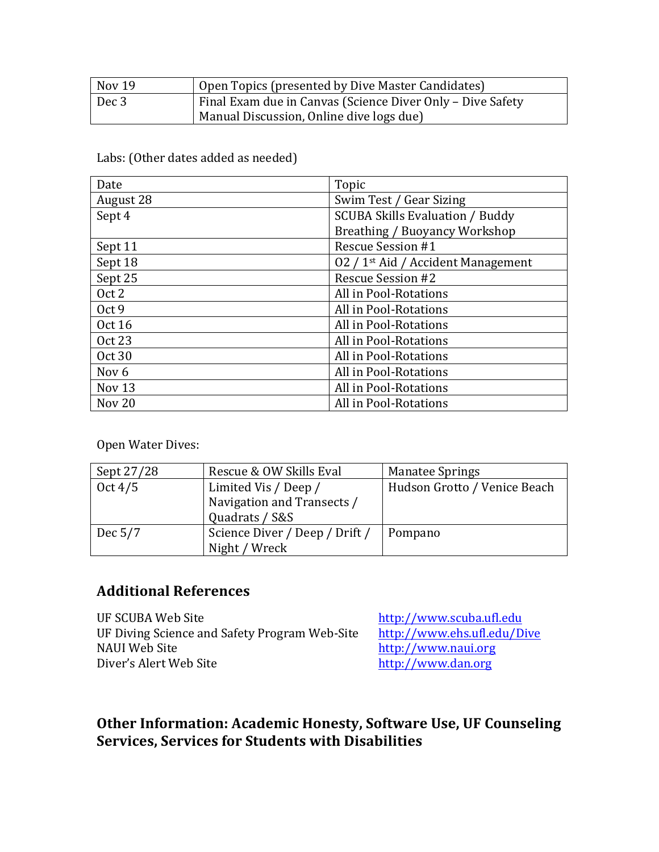| Nov 19 | Open Topics (presented by Dive Master Candidates)          |  |
|--------|------------------------------------------------------------|--|
| Dec 3  | Final Exam due in Canvas (Science Diver Only - Dive Safety |  |
|        | Manual Discussion, Online dive logs due)                   |  |

### Labs: (Other dates added as needed)

| Date              | Topic                                          |
|-------------------|------------------------------------------------|
| August 28         | Swim Test / Gear Sizing                        |
| Sept 4            | <b>SCUBA Skills Evaluation / Buddy</b>         |
|                   | Breathing / Buoyancy Workshop                  |
| Sept 11           | <b>Rescue Session #1</b>                       |
| Sept 18           | 02 / 1 <sup>st</sup> Aid / Accident Management |
| Sept 25           | <b>Rescue Session #2</b>                       |
| Oct 2             | All in Pool-Rotations                          |
| Oct 9             | All in Pool-Rotations                          |
| <b>Oct 16</b>     | All in Pool-Rotations                          |
| Oct 23            | All in Pool-Rotations                          |
| Oct 30            | All in Pool-Rotations                          |
| Nov <sub>6</sub>  | All in Pool-Rotations                          |
| Nov <sub>13</sub> | All in Pool-Rotations                          |
| Nov <sub>20</sub> | All in Pool-Rotations                          |

Open Water Dives:

| Sept 27/28 | Rescue & OW Skills Eval        | <b>Manatee Springs</b>       |
|------------|--------------------------------|------------------------------|
| Oct $4/5$  | Limited Vis / Deep /           | Hudson Grotto / Venice Beach |
|            | Navigation and Transects /     |                              |
|            | Quadrats / S&S                 |                              |
| Dec $5/7$  | Science Diver / Deep / Drift / | Pompano                      |
|            | Night / Wreck                  |                              |

# **Additional References**

| UF SCUBA Web Site                             | http://www.scuba.ufl.edu    |
|-----------------------------------------------|-----------------------------|
| UF Diving Science and Safety Program Web-Site | http://www.ehs.ufl.edu/Dive |
| NAUI Web Site                                 | http://www.naui.org         |
| Diver's Alert Web Site                        | http://www.dan.org          |
|                                               |                             |

### Other Information: Academic Honesty, Software Use, UF Counseling **Services, Services for Students with Disabilities**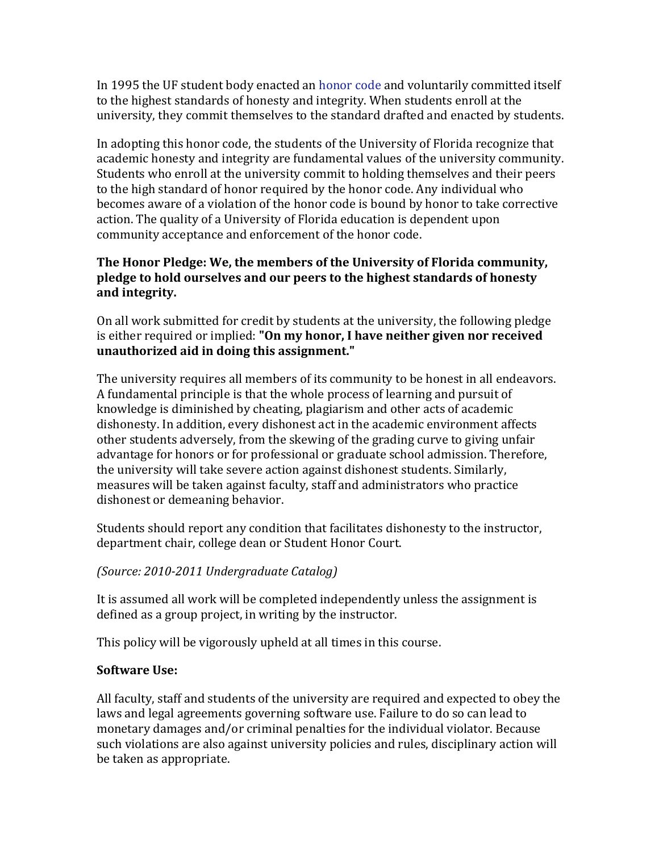In 1995 the UF student body enacted an honor code and voluntarily committed itself to the highest standards of honesty and integrity. When students enroll at the university, they commit themselves to the standard drafted and enacted by students.

In adopting this honor code, the students of the University of Florida recognize that academic honesty and integrity are fundamental values of the university community. Students who enroll at the university commit to holding themselves and their peers to the high standard of honor required by the honor code. Any individual who becomes aware of a violation of the honor code is bound by honor to take corrective action. The quality of a University of Florida education is dependent upon community acceptance and enforcement of the honor code.

#### The Honor Pledge: We, the members of the University of Florida community, **pledge to hold ourselves and our peers to the highest standards of honesty and integrity.**

On all work submitted for credit by students at the university, the following pledge is either required or implied: "On my honor, I have neither given nor received **unauthorized aid in doing this assignment."**

The university requires all members of its community to be honest in all endeavors. A fundamental principle is that the whole process of learning and pursuit of knowledge is diminished by cheating, plagiarism and other acts of academic dishonesty. In addition, every dishonest act in the academic environment affects other students adversely, from the skewing of the grading curve to giving unfair advantage for honors or for professional or graduate school admission. Therefore, the university will take severe action against dishonest students. Similarly, measures will be taken against faculty, staff and administrators who practice dishonest or demeaning behavior.

Students should report any condition that facilitates dishonesty to the instructor, department chair, college dean or Student Honor Court.

#### *(Source: 2010-2011 Undergraduate Catalog)*

It is assumed all work will be completed independently unless the assignment is defined as a group project, in writing by the instructor.

This policy will be vigorously upheld at all times in this course.

### **Software Use:**

All faculty, staff and students of the university are required and expected to obey the laws and legal agreements governing software use. Failure to do so can lead to monetary damages and/or criminal penalties for the individual violator. Because such violations are also against university policies and rules, disciplinary action will be taken as appropriate.